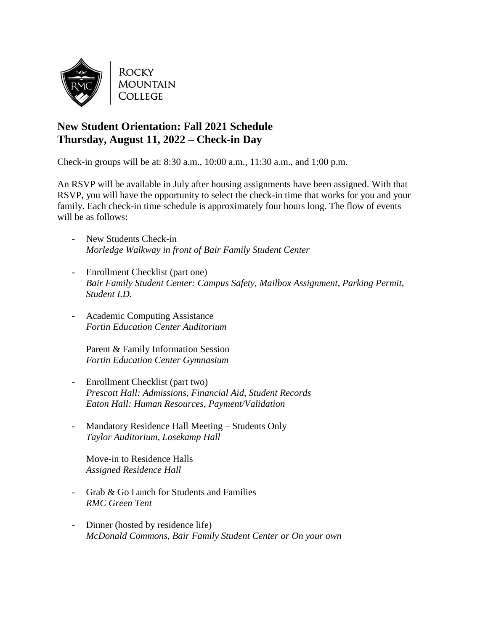

**ROCKY MOUNTAIN COLLEGE** 

## **New Student Orientation: Fall 2021 Schedule Thursday, August 11, 2022 – Check-in Day**

Check-in groups will be at: 8:30 a.m., 10:00 a.m., 11:30 a.m., and 1:00 p.m.

An RSVP will be available in July after housing assignments have been assigned. With that RSVP, you will have the opportunity to select the check-in time that works for you and your family. Each check-in time schedule is approximately four hours long. The flow of events will be as follows:

- New Students Check-in *Morledge Walkway in front of Bair Family Student Center*
- Enrollment Checklist (part one) *Bair Family Student Center: Campus Safety, Mailbox Assignment, Parking Permit, Student I.D.*
- Academic Computing Assistance *Fortin Education Center Auditorium*

Parent & Family Information Session *Fortin Education Center Gymnasium* 

- Enrollment Checklist (part two) *Prescott Hall: Admissions, Financial Aid, Student Records Eaton Hall: Human Resources, Payment/Validation*
- Mandatory Residence Hall Meeting Students Only *Taylor Auditorium, Losekamp Hall*

Move-in to Residence Halls *Assigned Residence Hall*

- Grab & Go Lunch for Students and Families *RMC Green Tent*
- Dinner (hosted by residence life) *McDonald Commons, Bair Family Student Center or On your own*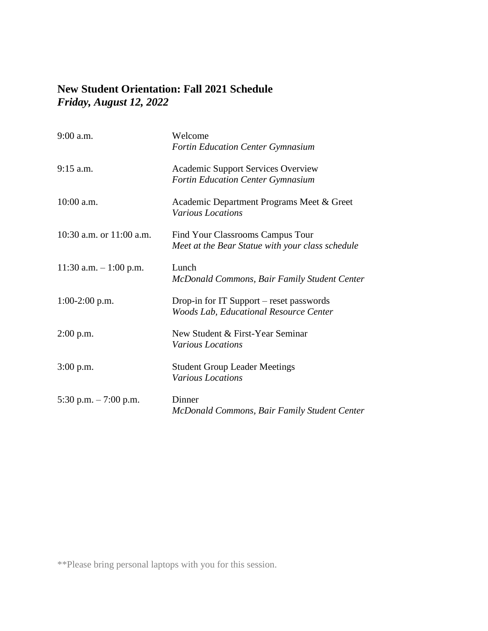## **New Student Orientation: Fall 2021 Schedule**  *Friday, August 12, 2022*

| 9:00 a.m.                | Welcome<br>Fortin Education Center Gymnasium                                              |
|--------------------------|-------------------------------------------------------------------------------------------|
| $9:15$ a.m.              | <b>Academic Support Services Overview</b><br><b>Fortin Education Center Gymnasium</b>     |
| $10:00$ a.m.             | Academic Department Programs Meet & Greet<br><b>Various Locations</b>                     |
| 10:30 a.m. or 11:00 a.m. | Find Your Classrooms Campus Tour<br>Meet at the Bear Statue with your class schedule      |
| 11:30 a.m. $-1:00$ p.m.  | Lunch<br>McDonald Commons, Bair Family Student Center                                     |
| $1:00-2:00$ p.m.         | Drop-in for IT Support – reset passwords<br><b>Woods Lab, Educational Resource Center</b> |
| $2:00$ p.m.              | New Student & First-Year Seminar<br><b>Various Locations</b>                              |
| $3:00$ p.m.              | <b>Student Group Leader Meetings</b><br><b>Various Locations</b>                          |
| 5:30 p.m. $-7:00$ p.m.   | Dinner<br>McDonald Commons, Bair Family Student Center                                    |

\*\*Please bring personal laptops with you for this session.